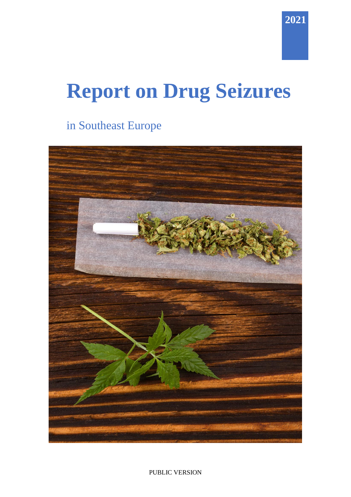# **Report on Drug Seizures**

# in Southeast Europe

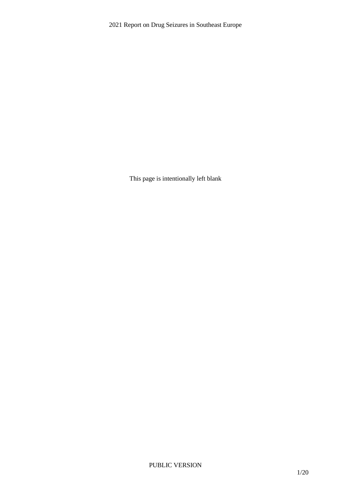This page is intentionally left blank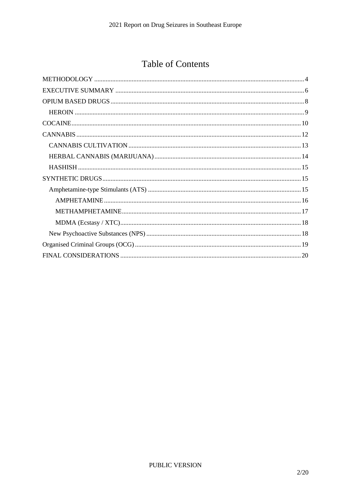## Table of Contents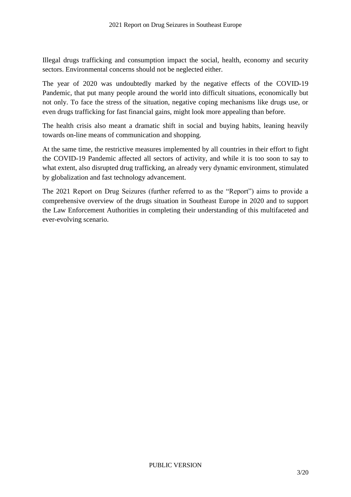Illegal drugs trafficking and consumption impact the social, health, economy and security sectors. Environmental concerns should not be neglected either.

The year of 2020 was undoubtedly marked by the negative effects of the COVID-19 Pandemic, that put many people around the world into difficult situations, economically but not only. To face the stress of the situation, negative coping mechanisms like drugs use, or even drugs trafficking for fast financial gains, might look more appealing than before.

The health crisis also meant a dramatic shift in social and buying habits, leaning heavily towards on-line means of communication and shopping.

At the same time, the restrictive measures implemented by all countries in their effort to fight the COVID-19 Pandemic affected all sectors of activity, and while it is too soon to say to what extent, also disrupted drug trafficking, an already very dynamic environment, stimulated by globalization and fast technology advancement.

<span id="page-3-0"></span>The 2021 Report on Drug Seizures (further referred to as the "Report") aims to provide a comprehensive overview of the drugs situation in Southeast Europe in 2020 and to support the Law Enforcement Authorities in completing their understanding of this multifaceted and ever-evolving scenario.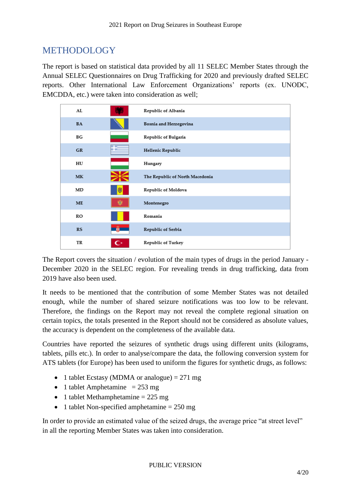## METHODOLOGY

The report is based on statistical data provided by all 11 SELEC Member States through the Annual SELEC Questionnaires on Drug Trafficking for 2020 and previously drafted SELEC reports. Other International Law Enforcement Organizations' reports (ex. UNODC, EMCDDA, etc.) were taken into consideration as well;

| AL        | Republic of Albania             |
|-----------|---------------------------------|
| <b>BA</b> | Bosnia and Herzegovina          |
| ВG        | Republic of Bulgaria            |
| GR        | <br>Hellenic Republic           |
| HU        | Hungary                         |
| MK        | The Republic of North Macedonia |
| MD        | Republic of Moldova             |
| ME        | Montenegro                      |
| RO        | Romania                         |
| RS        | Republic of Serbia              |
| TR        | Republic of Turkey              |

The Report covers the situation / evolution of the main types of drugs in the period January - December 2020 in the SELEC region. For revealing trends in drug trafficking, data from 2019 have also been used.

It needs to be mentioned that the contribution of some Member States was not detailed enough, while the number of shared seizure notifications was too low to be relevant. Therefore, the findings on the Report may not reveal the complete regional situation on certain topics, the totals presented in the Report should not be considered as absolute values, the accuracy is dependent on the completeness of the available data.

Countries have reported the seizures of synthetic drugs using different units (kilograms, tablets, pills etc.). In order to analyse/compare the data, the following conversion system for ATS tablets (for Europe) has been used to uniform the figures for synthetic drugs, as follows:

- 1 tablet Ecstasy (MDMA or analogue)  $= 271$  mg
- 1 tablet Amphetamine  $= 253$  mg
- 1 tablet Methamphetamine  $= 225$  mg
- 1 tablet Non-specified amphetamine  $= 250$  mg

In order to provide an estimated value of the seized drugs, the average price "at street level" in all the reporting Member States was taken into consideration.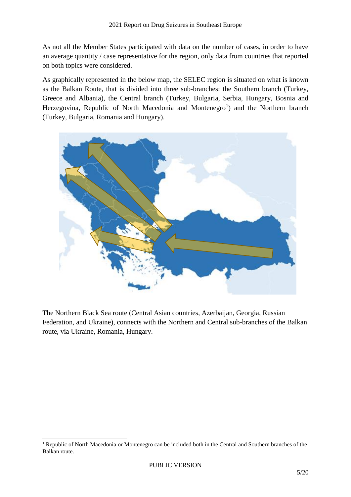As not all the Member States participated with data on the number of cases, in order to have an average quantity / case representative for the region, only data from countries that reported on both topics were considered.

As graphically represented in the below map, the SELEC region is situated on what is known as the Balkan Route, that is divided into three sub-branches: the Southern branch (Turkey, Greece and Albania), the Central branch (Turkey, Bulgaria, Serbia, Hungary, Bosnia and Herzegovina, Republic of North Macedonia and Montenegro<sup>1</sup>) and the Northern branch (Turkey, Bulgaria, Romania and Hungary).



<span id="page-5-0"></span>The Northern Black Sea route (Central Asian countries, Azerbaijan, Georgia, Russian Federation, and Ukraine), connects with the Northern and Central sub-branches of the Balkan route, via Ukraine, Romania, Hungary.

<sup>&</sup>lt;sup>1</sup> Republic of North Macedonia or Montenegro can be included both in the Central and Southern branches of the Balkan route.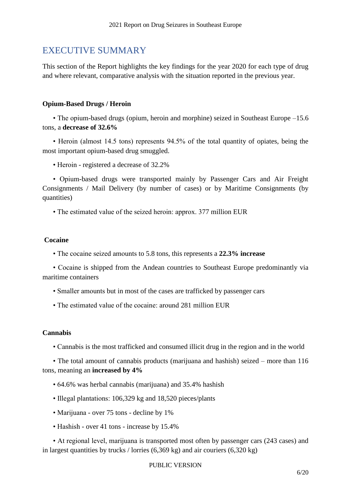## EXECUTIVE SUMMARY

This section of the Report highlights the key findings for the year 2020 for each type of drug and where relevant, comparative analysis with the situation reported in the previous year.

#### **Opium-Based Drugs / Heroin**

• The opium-based drugs (opium, heroin and morphine) seized in Southeast Europe –15.6 tons, a **decrease of 32.6%**

• Heroin (almost 14.5 tons) represents 94.5% of the total quantity of opiates, being the most important opium-based drug smuggled.

• Heroin - registered a decrease of 32.2%

• Opium-based drugs were transported mainly by Passenger Cars and Air Freight Consignments / Mail Delivery (by number of cases) or by Maritime Consignments (by quantities)

• The estimated value of the seized heroin: approx. 377 million EUR

#### **Cocaine**

• The cocaine seized amounts to 5.8 tons, this represents a **22.3% increase**

• Cocaine is shipped from the Andean countries to Southeast Europe predominantly via maritime containers

- Smaller amounts but in most of the cases are trafficked by passenger cars
- The estimated value of the cocaine: around 281 million EUR

#### **Cannabis**

• Cannabis is the most trafficked and consumed illicit drug in the region and in the world

• The total amount of cannabis products (marijuana and hashish) seized – more than 116 tons, meaning an **increased by 4%**

- 64.6% was herbal cannabis (marijuana) and 35.4% hashish
- Illegal plantations: 106,329 kg and 18,520 pieces/plants
- Marijuana over 75 tons decline by 1%
- Hashish over 41 tons increase by 15.4%

• At regional level, marijuana is transported most often by passenger cars (243 cases) and in largest quantities by trucks / lorries (6,369 kg) and air couriers (6,320 kg)

#### PUBLIC VERSION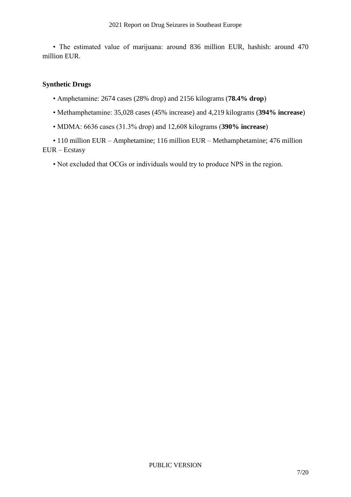• The estimated value of marijuana: around 836 million EUR, hashish: around 470 million EUR.

#### **Synthetic Drugs**

- Amphetamine: 2674 cases (28% drop) and 2156 kilograms (**78.4% drop**)
- Methamphetamine: 35,028 cases (45% increase) and 4,219 kilograms (**394% increase**)
- MDMA: 6636 cases (31.3% drop) and 12,608 kilograms (**390% increase**)

• 110 million EUR – Amphetamine; 116 million EUR – Methamphetamine; 476 million EUR – Ecstasy

• Not excluded that OCGs or individuals would try to produce NPS in the region.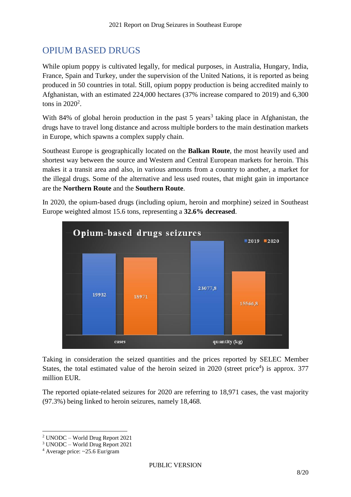## <span id="page-8-0"></span>OPIUM BASED DRUGS

While opium poppy is cultivated legally, for medical purposes, in Australia, Hungary, India, France, Spain and Turkey, under the supervision of the United Nations, it is reported as being produced in 50 countries in total. Still, opium poppy production is being accredited mainly to Afghanistan, with an estimated 224,000 hectares (37% increase compared to 2019) and 6,300 tons in  $2020^2$ .

With 84% of global heroin production in the past 5 years<sup>3</sup> taking place in Afghanistan, the drugs have to travel long distance and across multiple borders to the main destination markets in Europe, which spawns a complex supply chain.

Southeast Europe is geographically located on the **Balkan Route**, the most heavily used and shortest way between the source and Western and Central European markets for heroin. This makes it a transit area and also, in various amounts from a country to another, a market for the illegal drugs. Some of the alternative and less used routes, that might gain in importance are the **Northern Route** and the **Southern Route**.

In 2020, the opium-based drugs (including opium, heroin and morphine) seized in Southeast Europe weighted almost 15.6 tons, representing a **32.6% decreased**.



Taking in consideration the seized quantities and the prices reported by SELEC Member States, the total estimated value of the heroin seized in  $2020$  (street price<sup>4</sup>) is approx. 377 million EUR.

The reported opiate-related seizures for 2020 are referring to 18,971 cases, the vast majority (97.3%) being linked to heroin seizures, namely 18,468.

<sup>2</sup> UNODC – World Drug Report 2021

<sup>3</sup> UNODC – World Drug Report 2021

<sup>4</sup> Average price: ~25.6 Eur/gram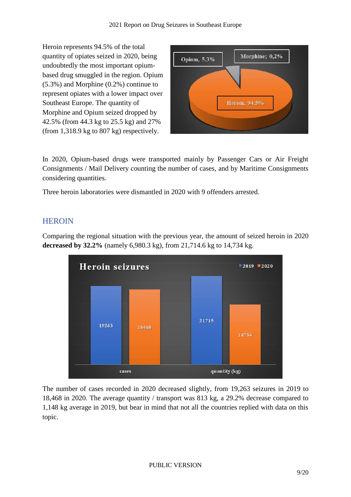Heroin represents 94.5% of the total quantity of opiates seized in 2020, being undoubtedly the most important opiumbased drug smuggled in the region. Opium (5.3%) and Morphine (0.2%) continue to represent opiates with a lower impact over Southeast Europe. The quantity of Morphine and Opium seized dropped by 42.5% (from 44.3 kg to 25.5 kg) and 27% (from 1,318.9 kg to 807 kg) respectively.



In 2020, Opium-based drugs were transported mainly by Passenger Cars or Air Freight Consignments / Mail Delivery counting the number of cases, and by Maritime Consignments considering quantities.

Three heroin laboratories were dismantled in 2020 with 9 offenders arrested.

## <span id="page-9-0"></span>**HEROIN**



Comparing the regional situation with the previous year, the amount of seized heroin in 2020 **decreased by 32.2%** (namely 6,980.3 kg), from 21,714.6 kg to 14,734 kg.

The number of cases recorded in 2020 decreased slightly, from 19,263 seizures in 2019 to 18,468 in 2020. The average quantity / transport was 813 kg, a 29.2% decrease compared to 1,148 kg average in 2019, but bear in mind that not all the countries replied with data on this topic.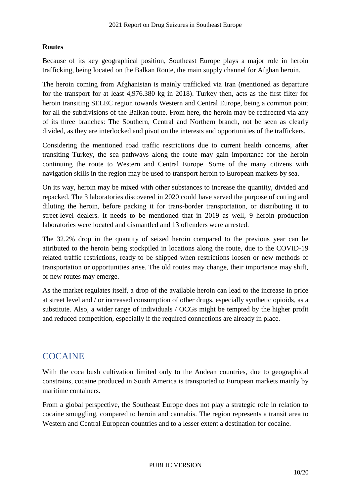#### **Routes**

Because of its key geographical position, Southeast Europe plays a major role in heroin trafficking, being located on the Balkan Route, the main supply channel for Afghan heroin.

The heroin coming from Afghanistan is mainly trafficked via Iran (mentioned as departure for the transport for at least 4,976.380 kg in 2018). Turkey then, acts as the first filter for heroin transiting SELEC region towards Western and Central Europe, being a common point for all the subdivisions of the Balkan route. From here, the heroin may be redirected via any of its three branches: The Southern, Central and Northern branch, not be seen as clearly divided, as they are interlocked and pivot on the interests and opportunities of the traffickers.

Considering the mentioned road traffic restrictions due to current health concerns, after transiting Turkey, the sea pathways along the route may gain importance for the heroin continuing the route to Western and Central Europe. Some of the many citizens with navigation skills in the region may be used to transport heroin to European markets by sea.

On its way, heroin may be mixed with other substances to increase the quantity, divided and repacked. The 3 laboratories discovered in 2020 could have served the purpose of cutting and diluting the heroin, before packing it for trans-border transportation, or distributing it to street-level dealers. It needs to be mentioned that in 2019 as well, 9 heroin production laboratories were located and dismantled and 13 offenders were arrested.

The 32.2% drop in the quantity of seized heroin compared to the previous year can be attributed to the heroin being stockpiled in locations along the route, due to the COVID-19 related traffic restrictions, ready to be shipped when restrictions loosen or new methods of transportation or opportunities arise. The old routes may change, their importance may shift, or new routes may emerge.

As the market regulates itself, a drop of the available heroin can lead to the increase in price at street level and / or increased consumption of other drugs, especially synthetic opioids, as a substitute. Also, a wider range of individuals / OCGs might be tempted by the higher profit and reduced competition, especially if the required connections are already in place.

## <span id="page-10-0"></span>COCAINE

With the coca bush cultivation limited only to the Andean countries, due to geographical constrains, cocaine produced in South America is transported to European markets mainly by maritime containers.

From a global perspective, the Southeast Europe does not play a strategic role in relation to cocaine smuggling, compared to heroin and cannabis. The region represents a transit area to Western and Central European countries and to a lesser extent a destination for cocaine.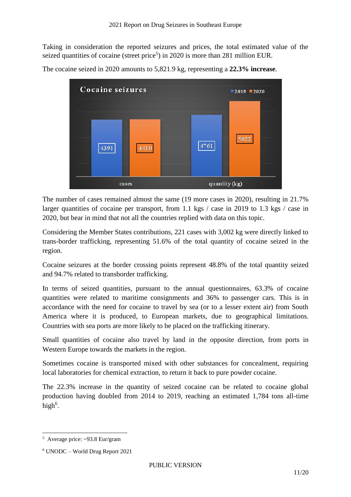Taking in consideration the reported seizures and prices, the total estimated value of the seized quantities of cocaine (street price<sup>5</sup>) in 2020 is more than 281 million EUR.

The cocaine seized in 2020 amounts to 5,821.9 kg, representing a **22.3% increase**.



The number of cases remained almost the same (19 more cases in 2020), resulting in 21.7% larger quantities of cocaine per transport, from 1.1 kgs / case in 2019 to 1.3 kgs / case in 2020, but bear in mind that not all the countries replied with data on this topic.

Considering the Member States contributions, 221 cases with 3,002 kg were directly linked to trans-border trafficking, representing 51.6% of the total quantity of cocaine seized in the region.

Cocaine seizures at the border crossing points represent 48.8% of the total quantity seized and 94.7% related to transborder trafficking.

In terms of seized quantities, pursuant to the annual questionnaires, 63.3% of cocaine quantities were related to maritime consignments and 36% to passenger cars. This is in accordance with the need for cocaine to travel by sea (or to a lesser extent air) from South America where it is produced, to European markets, due to geographical limitations. Countries with sea ports are more likely to be placed on the trafficking itinerary.

Small quantities of cocaine also travel by land in the opposite direction, from ports in Western Europe towards the markets in the region.

Sometimes cocaine is transported mixed with other substances for concealment, requiring local laboratories for chemical extraction, to return it back to pure powder cocaine.

The 22.3% increase in the quantity of seized cocaine can be related to cocaine global production having doubled from 2014 to 2019, reaching an estimated 1,784 tons all-time high<sup>6</sup>.

<sup>5</sup> Average price: ~93.8 Eur/gram

<sup>6</sup> UNODC – World Drug Report 2021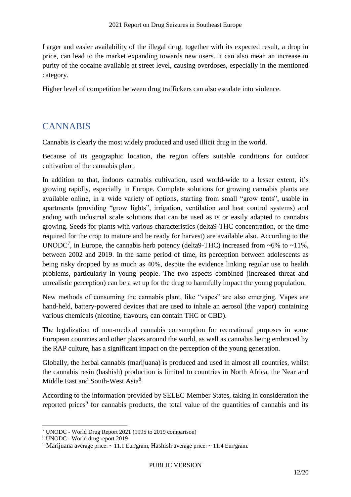Larger and easier availability of the illegal drug, together with its expected result, a drop in price, can lead to the market expanding towards new users. It can also mean an increase in purity of the cocaine available at street level, causing overdoses, especially in the mentioned category.

Higher level of competition between drug traffickers can also escalate into violence.

## <span id="page-12-0"></span>CANNABIS

Cannabis is clearly the most widely produced and used illicit drug in the world.

Because of its geographic location, the region offers suitable conditions for outdoor cultivation of the cannabis plant.

In addition to that, indoors cannabis cultivation, used world-wide to a lesser extent, it's growing rapidly, especially in Europe. Complete solutions for growing cannabis plants are available online, in a wide variety of options, starting from small "grow tents", usable in apartments (providing "grow lights", irrigation, ventilation and heat control systems) and ending with industrial scale solutions that can be used as is or easily adapted to cannabis growing. Seeds for plants with various characteristics (delta9-THC concentration, or the time required for the crop to mature and be ready for harvest) are available also. According to the UNODC<sup>7</sup>, in Europe, the cannabis herb potency (delta9-THC) increased from  $~6\%$  to  $~11\%$ , between 2002 and 2019. In the same period of time, its perception between adolescents as being risky dropped by as much as 40%, despite the evidence linking regular use to health problems, particularly in young people. The two aspects combined (increased threat and unrealistic perception) can be a set up for the drug to harmfully impact the young population.

New methods of consuming the cannabis plant, like "vapes" are also emerging. Vapes are hand-held, battery-powered devices that are used to inhale an aerosol (the vapor) containing various chemicals (nicotine, flavours, can contain THC or CBD).

The legalization of non-medical cannabis consumption for recreational purposes in some European countries and other places around the world, as well as cannabis being embraced by the RAP culture, has a significant impact on the perception of the young generation.

Globally, the herbal cannabis (marijuana) is produced and used in almost all countries, whilst the cannabis resin (hashish) production is limited to countries in North Africa, the Near and Middle East and South-West Asia<sup>8</sup>.

According to the information provided by SELEC Member States, taking in consideration the reported prices<sup>9</sup> for cannabis products, the total value of the quantities of cannabis and its

<sup>7</sup> UNODC - World Drug Report 2021 (1995 to 2019 comparison)

<sup>8</sup> UNODC - World drug report 2019

<sup>&</sup>lt;sup>9</sup> Marijuana average price:  $\sim$  11.1 Eur/gram, Hashish average price:  $\sim$  11.4 Eur/gram.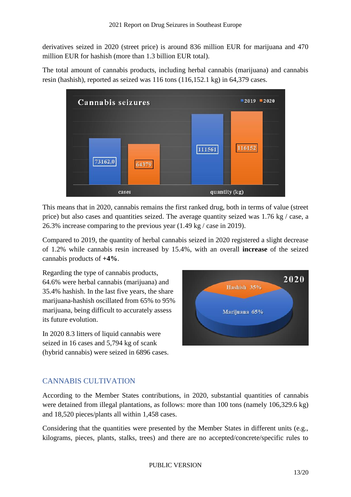derivatives seized in 2020 (street price) is around 836 million EUR for marijuana and 470 million EUR for hashish (more than 1.3 billion EUR total).

The total amount of cannabis products, including herbal cannabis (marijuana) and cannabis resin (hashish), reported as seized was 116 tons (116,152.1 kg) in 64,379 cases.



This means that in 2020, cannabis remains the first ranked drug, both in terms of value (street price) but also cases and quantities seized. The average quantity seized was  $1.76$  kg / case, a 26.3% increase comparing to the previous year (1.49 kg / case in 2019).

Compared to 2019, the quantity of herbal cannabis seized in 2020 registered a slight decrease of 1.2% while cannabis resin increased by 15.4%, with an overall **increase** of the seized cannabis products of **+4%**.

Regarding the type of cannabis products, 64.6% were herbal cannabis (marijuana) and 35.4% hashish. In the last five years, the share marijuana-hashish oscillated from 65% to 95% marijuana, being difficult to accurately assess its future evolution.

In 2020 8.3 litters of liquid cannabis were seized in 16 cases and 5,794 kg of scank (hybrid cannabis) were seized in 6896 cases.



## <span id="page-13-0"></span>CANNABIS CULTIVATION

According to the Member States contributions, in 2020, substantial quantities of cannabis were detained from illegal plantations, as follows: more than 100 tons (namely 106,329.6 kg) and 18,520 pieces/plants all within 1,458 cases.

Considering that the quantities were presented by the Member States in different units (e.g., kilograms, pieces, plants, stalks, trees) and there are no accepted/concrete/specific rules to

PUBLIC VERSION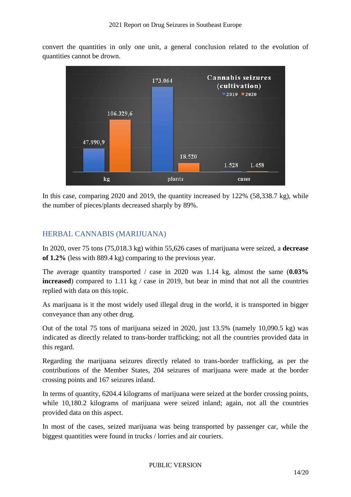convert the quantities in only one unit, a general conclusion related to the evolution of quantities cannot be drown.



In this case, comparing 2020 and 2019, the quantity increased by 122% (58,338.7 kg), while the number of pieces/plants decreased sharply by 89%.

#### <span id="page-14-0"></span>HERBAL CANNABIS (MARIJUANA)

In 2020, over 75 tons (75,018.3 kg) within 55,626 cases of marijuana were seized, a **decrease of 1.2%** (less with 889.4 kg) comparing to the previous year.

The average quantity transported / case in 2020 was 1.14 kg, almost the same (**0.03% increased**) compared to 1.11 kg / case in 2019, but bear in mind that not all the countries replied with data on this topic.

As marijuana is it the most widely used illegal drug in the world, it is transported in bigger conveyance than any other drug.

Out of the total 75 tons of marijuana seized in 2020, just 13.5% (namely 10,090.5 kg) was indicated as directly related to trans-border trafficking; not all the countries provided data in this regard.

Regarding the marijuana seizures directly related to trans-border trafficking, as per the contributions of the Member States, 204 seizures of marijuana were made at the border crossing points and 167 seizures inland.

In terms of quantity, 6204.4 kilograms of marijuana were seized at the border crossing points, while 10,180.2 kilograms of marijuana were seized inland; again, not all the countries provided data on this aspect.

In most of the cases, seized marijuana was being transported by passenger car, while the biggest quantities were found in trucks / lorries and air couriers.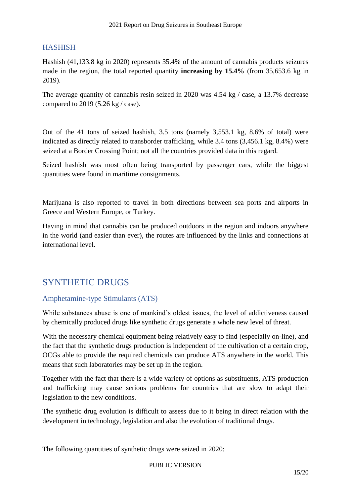### <span id="page-15-0"></span>HASHISH

Hashish (41,133.8 kg in 2020) represents 35.4% of the amount of cannabis products seizures made in the region, the total reported quantity **increasing by 15.4%** (from 35,653.6 kg in 2019).

The average quantity of cannabis resin seized in 2020 was 4.54 kg / case, a 13.7% decrease compared to 2019 (5.26 kg  $/$  case).

Out of the 41 tons of seized hashish, 3.5 tons (namely 3,553.1 kg, 8.6% of total) were indicated as directly related to transborder trafficking, while 3.4 tons (3,456.1 kg, 8.4%) were seized at a Border Crossing Point; not all the countries provided data in this regard.

Seized hashish was most often being transported by passenger cars, while the biggest quantities were found in maritime consignments.

Marijuana is also reported to travel in both directions between sea ports and airports in Greece and Western Europe, or Turkey.

Having in mind that cannabis can be produced outdoors in the region and indoors anywhere in the world (and easier than ever), the routes are influenced by the links and connections at international level.

## <span id="page-15-1"></span>SYNTHETIC DRUGS

#### <span id="page-15-2"></span>Amphetamine-type Stimulants (ATS)

While substances abuse is one of mankind's oldest issues, the level of addictiveness caused by chemically produced drugs like synthetic drugs generate a whole new level of threat.

With the necessary chemical equipment being relatively easy to find (especially on-line), and the fact that the synthetic drugs production is independent of the cultivation of a certain crop, OCGs able to provide the required chemicals can produce ATS anywhere in the world. This means that such laboratories may be set up in the region.

Together with the fact that there is a wide variety of options as substituents, ATS production and trafficking may cause serious problems for countries that are slow to adapt their legislation to the new conditions.

The synthetic drug evolution is difficult to assess due to it being in direct relation with the development in technology, legislation and also the evolution of traditional drugs.

The following quantities of synthetic drugs were seized in 2020:

PUBLIC VERSION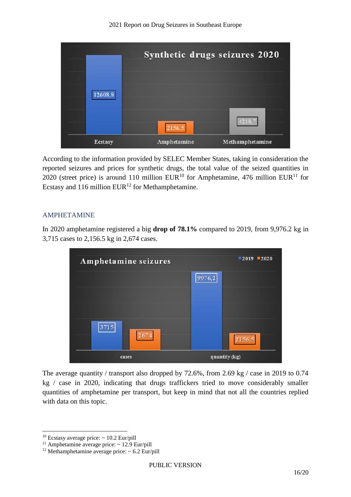| 12608,8        | Synthetic drugs seizures 2020<br>2156,5 |                 |
|----------------|-----------------------------------------|-----------------|
| <b>Ecstasy</b> | Amphetamine                             | Methamphetamine |

According to the information provided by SELEC Member States, taking in consideration the reported seizures and prices for synthetic drugs, the total value of the seized quantities in 2020 (street price) is around 110 million  $EUR^{10}$  for Amphetamine, 476 million  $EUR^{11}$  for Ecstasy and 116 million  $EUR^{12}$  for Methamphetamine.

#### <span id="page-16-0"></span>AMPHETAMINE

In 2020 amphetamine registered a big **drop of 78.1%** compared to 2019, from 9,976.2 kg in 3,715 cases to 2,156.5 kg in 2,674 cases.



The average quantity / transport also dropped by 72.6%, from 2.69 kg / case in 2019 to 0.74 kg / case in 2020, indicating that drugs traffickers tried to move considerably smaller quantities of amphetamine per transport, but keep in mind that not all the countries replied with data on this topic.

<sup>10</sup> Ecstasy average price: ~ 10.2 Eur/pill

<sup>&</sup>lt;sup>11</sup> Amphetamine average price:  $\sim$  12.9 Eur/pill

<sup>&</sup>lt;sup>12</sup> Methamphetamine average price:  $\sim 6.2$  Eur/pill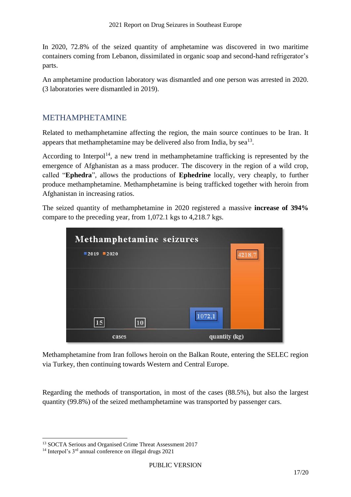In 2020, 72.8% of the seized quantity of amphetamine was discovered in two maritime containers coming from Lebanon, dissimilated in organic soap and second-hand refrigerator's parts.

An amphetamine production laboratory was dismantled and one person was arrested in 2020. (3 laboratories were dismantled in 2019).

## <span id="page-17-0"></span>METHAMPHETAMINE

Related to methamphetamine affecting the region, the main source continues to be Iran. It appears that methamphetamine may be delivered also from India, by  $\text{sea}^{13}$ .

According to Interpol<sup>14</sup>, a new trend in methamphetamine trafficking is represented by the emergence of Afghanistan as a mass producer. The discovery in the region of a wild crop, called "**Ephedra**", allows the productions of **Ephedrine** locally, very cheaply, to further produce methamphetamine. Methamphetamine is being trafficked together with heroin from Afghanistan in increasing ratios.

The seized quantity of methamphetamine in 2020 registered a massive **increase of 394%** compare to the preceding year, from 1,072.1 kgs to 4,218.7 kgs.

| Methamphetamine seizures                |    |  |               |  |  |  |  |
|-----------------------------------------|----|--|---------------|--|--|--|--|
| $\blacksquare 2019$ $\blacksquare 2020$ |    |  |               |  |  |  |  |
|                                         |    |  |               |  |  |  |  |
|                                         |    |  |               |  |  |  |  |
| 15                                      | 10 |  | 1072,1        |  |  |  |  |
| cases                                   |    |  | quantity (kg) |  |  |  |  |

Methamphetamine from Iran follows heroin on the Balkan Route, entering the SELEC region via Turkey, then continuing towards Western and Central Europe.

Regarding the methods of transportation, in most of the cases (88.5%), but also the largest quantity (99.8%) of the seized methamphetamine was transported by passenger cars.

<sup>&</sup>lt;sup>13</sup> SOCTA Serious and Organised Crime Threat Assessment 2017

<sup>14</sup> Interpol's 3rd annual conference on illegal drugs 2021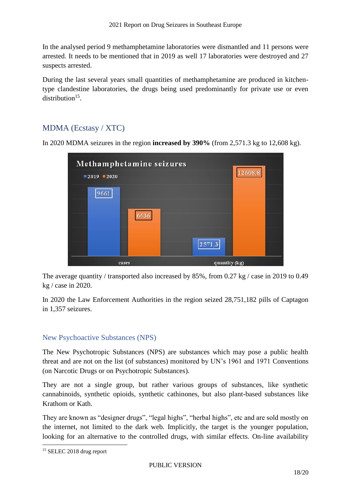In the analysed period 9 methamphetamine laboratories were dismantled and 11 persons were arrested. It needs to be mentioned that in 2019 as well 17 laboratories were destroyed and 27 suspects arrested.

During the last several years small quantities of methamphetamine are produced in kitchentype clandestine laboratories, the drugs being used predominantly for private use or even distribution<sup>15</sup>.

## <span id="page-18-0"></span>MDMA (Ecstasy / XTC)

In 2020 MDMA seizures in the region **increased by 390%** (from 2,571.3 kg to 12,608 kg).



The average quantity / transported also increased by 85%, from 0.27 kg / case in 2019 to 0.49 kg / case in 2020.

In 2020 the Law Enforcement Authorities in the region seized 28,751,182 pills of Captagon in 1,357 seizures.

#### <span id="page-18-1"></span>New Psychoactive Substances (NPS)

The New Psychotropic Substances (NPS) are substances which may pose a public health threat and are not on the list (of substances) monitored by UN's 1961 and 1971 Conventions (on Narcotic Drugs or on Psychotropic Substances).

They are not a single group, but rather various groups of substances, like synthetic cannabinoids, synthetic opioids, synthetic cathinones, but also plant-based substances like Krathom or Kath.

They are known as "designer drugs", "legal highs", "herbal highs", etc and are sold mostly on the internet, not limited to the dark web. Implicitly, the target is the younger population, looking for an alternative to the controlled drugs, with similar effects. On-line availability

 $\overline{a}$ 

<sup>&</sup>lt;sup>15</sup> SELEC 2018 drug report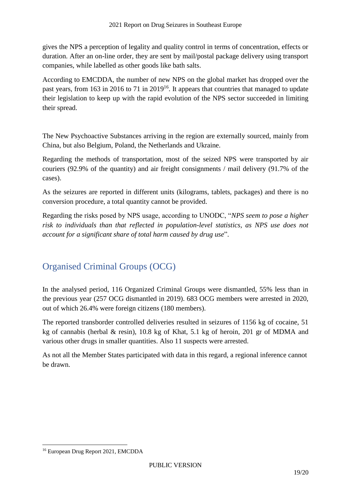gives the NPS a perception of legality and quality control in terms of concentration, effects or duration. After an on-line order, they are sent by mail/postal package delivery using transport companies, while labelled as other goods like bath salts.

According to EMCDDA, the number of new NPS on the global market has dropped over the past years, from 163 in 2016 to 71 in 2019<sup>16</sup>. It appears that countries that managed to update their legislation to keep up with the rapid evolution of the NPS sector succeeded in limiting their spread.

The New Psychoactive Substances arriving in the region are externally sourced, mainly from China, but also Belgium, Poland, the Netherlands and Ukraine.

Regarding the methods of transportation, most of the seized NPS were transported by air couriers (92.9% of the quantity) and air freight consignments / mail delivery (91.7% of the cases).

As the seizures are reported in different units (kilograms, tablets, packages) and there is no conversion procedure, a total quantity cannot be provided.

Regarding the risks posed by NPS usage, according to UNODC, "*NPS seem to pose a higher risk to individuals than that reflected in population-level statistics, as NPS use does not account for a significant share of total harm caused by drug use*".

## <span id="page-19-0"></span>Organised Criminal Groups (OCG)

In the analysed period, 116 Organized Criminal Groups were dismantled, 55% less than in the previous year (257 OCG dismantled in 2019). 683 OCG members were arrested in 2020, out of which 26.4% were foreign citizens (180 members).

The reported transborder controlled deliveries resulted in seizures of 1156 kg of cocaine, 51 kg of cannabis (herbal & resin), 10.8 kg of Khat, 5.1 kg of heroin, 201 gr of MDMA and various other drugs in smaller quantities. Also 11 suspects were arrested.

As not all the Member States participated with data in this regard, a regional inference cannot be drawn.

 $\overline{a}$ 

<sup>16</sup> European Drug Report 2021, EMCDDA